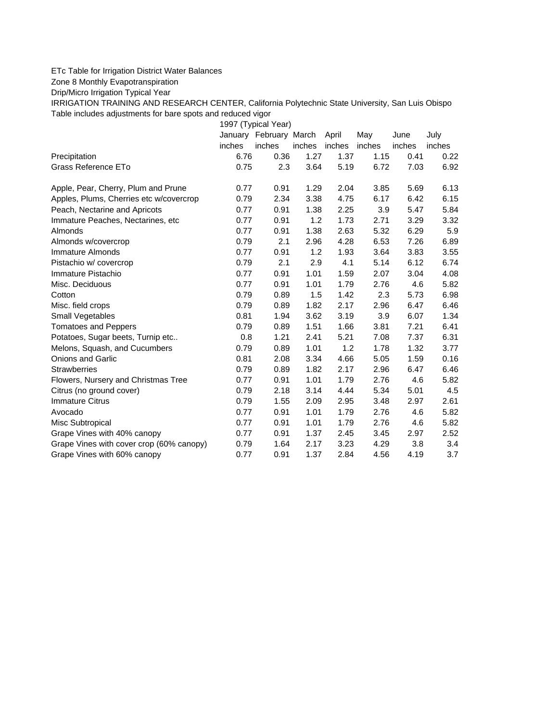## ETc Table for Irrigation District Water Balances

Zone 8 Monthly Evapotranspiration

Drip/Micro Irrigation Typical Year

IRRIGATION TRAINING AND RESEARCH CENTER, California Polytechnic State University, San Luis Obispo Table includes adjustments for bare spots and reduced vigor

1997 (Typical Year)

|                                          |        | January February March |        | April  | May    | June   | July   |
|------------------------------------------|--------|------------------------|--------|--------|--------|--------|--------|
|                                          | inches | inches                 | inches | inches | inches | inches | inches |
| Precipitation                            | 6.76   | 0.36                   | 1.27   | 1.37   | 1.15   | 0.41   | 0.22   |
| Grass Reference ETo                      | 0.75   | 2.3                    | 3.64   | 5.19   | 6.72   | 7.03   | 6.92   |
| Apple, Pear, Cherry, Plum and Prune      | 0.77   | 0.91                   | 1.29   | 2.04   | 3.85   | 5.69   | 6.13   |
| Apples, Plums, Cherries etc w/covercrop  | 0.79   | 2.34                   | 3.38   | 4.75   | 6.17   | 6.42   | 6.15   |
| Peach, Nectarine and Apricots            | 0.77   | 0.91                   | 1.38   | 2.25   | 3.9    | 5.47   | 5.84   |
| Immature Peaches, Nectarines, etc.       | 0.77   | 0.91                   | 1.2    | 1.73   | 2.71   | 3.29   | 3.32   |
| Almonds                                  | 0.77   | 0.91                   | 1.38   | 2.63   | 5.32   | 6.29   | 5.9    |
| Almonds w/covercrop                      | 0.79   | 2.1                    | 2.96   | 4.28   | 6.53   | 7.26   | 6.89   |
| Immature Almonds                         | 0.77   | 0.91                   | 1.2    | 1.93   | 3.64   | 3.83   | 3.55   |
| Pistachio w/ covercrop                   | 0.79   | 2.1                    | 2.9    | 4.1    | 5.14   | 6.12   | 6.74   |
| Immature Pistachio                       | 0.77   | 0.91                   | 1.01   | 1.59   | 2.07   | 3.04   | 4.08   |
| Misc. Deciduous                          | 0.77   | 0.91                   | 1.01   | 1.79   | 2.76   | 4.6    | 5.82   |
| Cotton                                   | 0.79   | 0.89                   | 1.5    | 1.42   | 2.3    | 5.73   | 6.98   |
| Misc. field crops                        | 0.79   | 0.89                   | 1.82   | 2.17   | 2.96   | 6.47   | 6.46   |
| Small Vegetables                         | 0.81   | 1.94                   | 3.62   | 3.19   | 3.9    | 6.07   | 1.34   |
| <b>Tomatoes and Peppers</b>              | 0.79   | 0.89                   | 1.51   | 1.66   | 3.81   | 7.21   | 6.41   |
| Potatoes, Sugar beets, Turnip etc        | 0.8    | 1.21                   | 2.41   | 5.21   | 7.08   | 7.37   | 6.31   |
| Melons, Squash, and Cucumbers            | 0.79   | 0.89                   | 1.01   | 1.2    | 1.78   | 1.32   | 3.77   |
| <b>Onions and Garlic</b>                 | 0.81   | 2.08                   | 3.34   | 4.66   | 5.05   | 1.59   | 0.16   |
| <b>Strawberries</b>                      | 0.79   | 0.89                   | 1.82   | 2.17   | 2.96   | 6.47   | 6.46   |
| Flowers, Nursery and Christmas Tree      | 0.77   | 0.91                   | 1.01   | 1.79   | 2.76   | 4.6    | 5.82   |
| Citrus (no ground cover)                 | 0.79   | 2.18                   | 3.14   | 4.44   | 5.34   | 5.01   | 4.5    |
| <b>Immature Citrus</b>                   | 0.79   | 1.55                   | 2.09   | 2.95   | 3.48   | 2.97   | 2.61   |
| Avocado                                  | 0.77   | 0.91                   | 1.01   | 1.79   | 2.76   | 4.6    | 5.82   |
| Misc Subtropical                         | 0.77   | 0.91                   | 1.01   | 1.79   | 2.76   | 4.6    | 5.82   |
| Grape Vines with 40% canopy              | 0.77   | 0.91                   | 1.37   | 2.45   | 3.45   | 2.97   | 2.52   |
| Grape Vines with cover crop (60% canopy) | 0.79   | 1.64                   | 2.17   | 3.23   | 4.29   | 3.8    | 3.4    |
| Grape Vines with 60% canopy              | 0.77   | 0.91                   | 1.37   | 2.84   | 4.56   | 4.19   | 3.7    |